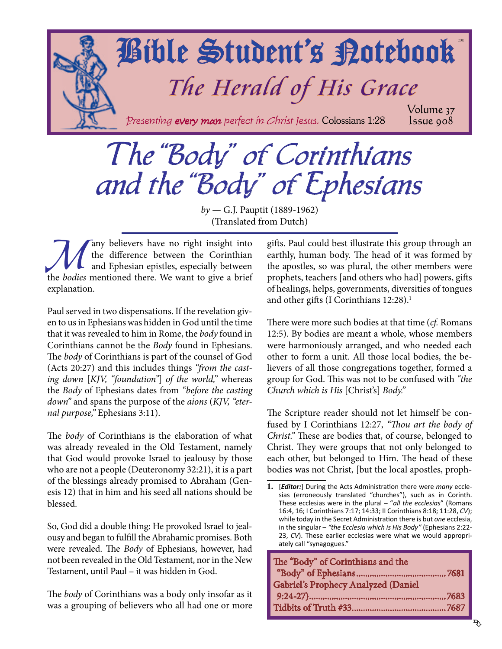<span id="page-0-0"></span>

# The "Body" of Corinthians and the "Body" of Ephesians

*by* — G.J. Pauptit (1889-1962) (Translated from Dutch)

The difference between the Corinthian<br>and Ephesian epistles, especially between<br>the hodies mentioned there. We want to give a brief the difference between the Corinthian and Ephesian epistles, especially between the *bodies* mentioned there. We want to give a brief explanation.

Paul served in two dispensations. If the revelation given to us in Ephesians was hidden in God until the time that it was revealed to him in Rome, the *body* found in Corinthians cannot be the *Body* found in Ephesians. The *body* of Corinthians is part of the counsel of God (Acts 20:27) and this includes things *"from the casting down* [*KJV, "foundation"*] *of the world,"* whereas the *Body* of Ephesians dates from *"before the casting down"* and spans the purpose of the *aions* (*KJV, "eternal purpose,"* Ephesians 3:11).

The *body* of Corinthians is the elaboration of what was already revealed in the Old Testament, namely that God would provoke Israel to jealousy by those who are not a people (Deuteronomy 32:21), it is a part of the blessings already promised to Abraham (Genesis 12) that in him and his seed all nations should be blessed.

So, God did a double thing: He provoked Israel to jealousy and began to fulfill the Abrahamic promises. Both were revealed. The *Body* of Ephesians, however, had not been revealed in the Old Testament, nor in the New Testament, until Paul – it was hidden in God.

The *body* of Corinthians was a body only insofar as it was a grouping of believers who all had one or more gifts. Paul could best illustrate this group through an earthly, human body. The head of it was formed by the apostles, so was plural, the other members were prophets, teachers [and others who had] powers, gifts of healings, helps, governments, diversities of tongues and other gifts (I Corinthians 12:28).<sup>1</sup>

There were more such bodies at that time (*cf.* Romans 12:5). By bodies are meant a whole, whose members were harmoniously arranged, and who needed each other to form a unit. All those local bodies, the believers of all those congregations together, formed a group for God. This was not to be confused with *"the Church which is His* [Christ's] *Body."*

The Scripture reader should not let himself be confused by I Corinthians 12:27, *"Thou art the body of Christ."* These are bodies that, of course, belonged to Christ. They were groups that not only belonged to each other, but belonged to Him. The head of these bodies was not Christ, [but the local apostles, proph-

**<sup>1.</sup>** [*Editor:*] During the Acts Administration there were *many* ecclesias (erroneously translated "churches"), such as in Corinth. These ecclesias were in the plural – "*all the ecclesias*" (Romans 16:4, 16; I Corinthians 7:17; 14:33; II Corinthians 8:18; 11:28, *CV*); while today in the Secret Administration there is but *one* ecclesia, in the singular – *"the Ecclesia which is His Body"* (Ephesians 2:22- 23, *CV*). These earlier ecclesias were what we would appropriately call "synagogues."

| The "Body" of Corinthians and the   |  |
|-------------------------------------|--|
|                                     |  |
| Gabriel's Prophecy Analyzed (Daniel |  |
|                                     |  |
|                                     |  |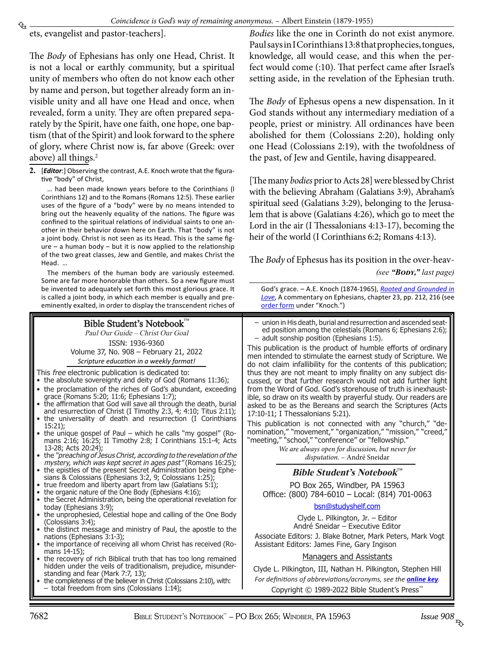<span id="page-1-0"></span>ets, evangelist and pastor-teachers].

The *Body* of Ephesians has only one Head, Christ. It is not a local or earthly community, but a spiritual unity of members who often do not know each other by name and person, but together already form an invisible unity and all have one Head and once, when revealed, form a unity. They are often prepared separately by the Spirit, have one faith, one hope, one baptism (that of the Spirit) and look forward to the sphere of glory, where Christ now is, far above (Greek: over above) all things.<sup>2</sup>

**2.** [*Editor*:] Observing the contrast, A.E. Knoch wrote that the figurative "body" of Christ,

… had been made known years before to the Corinthians (I Corinthians 12) and to the Romans (Romans 12:5). These earlier uses of the figure of a "body" were by no means intended to bring out the heavenly equality of the nations. The figure was confined to the spiritual relations of individual saints to one another in their behavior down here on Earth. That "body" is not a joint body. Christ is not seen as its Head. This is the same fig $ure - a$  human body – but it is now applied to the relationship of the two great classes, Jew and Gentile, and makes Christ the Head. …

The members of the human body are variously esteemed. Some are far more honorable than others. So a new figure must be invented to adequately set forth this most glorious grace. It is called a joint body, in which each member is equally and preeminently exalted, in order to display the transcendent riches of

#### Bible Student's Notebook™ Paul Our Guide – Christ Our Goal ISSN: 1936-9360 Volume 37, No. 908 – February 21, 2022 *Scripture education in a weekly format!* This free electronic publication is dedicated to: • the absolute sovereignty and deity of God (Romans 11:36); • the proclamation of the riches of God's abundant, exceeding grace (Romans 5:20; 11:6; Ephesians 1:7); the affirmation that God will save all through the death, burial and resurrection of Christ (I Timothy 2:3, 4; 4:10; Titus 2:11); the universality of death and resurrection (I Corinthians 15:21); the unique gospel of Paul – which he calls "my gospel" (Romans 2:16; 16:25; II Timothy 2:8; I Corinthians 15:1-4; Acts 13-28; Acts 20:24); the "preaching of Jesus Christ, according to the revelation of the mystery, which was kept secret in ages past" (Romans 16:25); the epistles of the present Secret Administration being Ephesians & Colossians (Ephesians 3:2, 9; Colossians 1:25); true freedom and liberty apart from law (Galatians 5:1); the organic nature of the One Body (Ephesians 4:16); the Secret Administration, being the operational revelation for today (Ephesians 3:9); the unprophesied, Celestial hope and calling of the One Body (Colossians 3:4); the distinct message and ministry of Paul, the apostle to the nations (Ephesians 3:1-3); the importance of receiving all whom Christ has received (Romans 14-15); the recovery of rich Biblical truth that has too long remained hidden under the veils of traditionalism, prejudice, misunderstanding and fear (Mark 7:7, 13); – union in His death, burial and resurrection and ascended seated position among the celestials (Romans 6; Ephesians 2:6); – adult sonship position (Ephesians 1:5). This publication is the product of humble efforts of ordinary men intended to stimulate the earnest study of Scripture. We do not claim infallibility for the contents of this publication; thus they are not meant to imply finality on any subject discussed, or that further research would not add further light from the Word of God. God's storehouse of truth is inexhaustible, so draw on its wealth by prayerful study. Our readers are asked to be as the Bereans and search the Scriptures (Acts 17:10-11; I Thessalonians 5:21). This publication is not connected with any "church," "de-<br>nomination," "movement," "organization," "mission," "creed," nomination," "movement," "organization," "mission," "creed," "meeting," "school," "conference" or "fellowship." *We are always open for discussion, but never for disputation.* – André Sneidar **Bible Student's Notebook**™ PO Box 265, Windber, PA 15963 Office: (800) 784-6010 – Local: (814) 701-0063 bsn@studyshelf.com Clyde L. Pilkington, Jr. – Editor André Sneidar – Executive Editor Associate Editors: J. Blake Botner, Mark Peters, Mark Vogt Assistant Editors: James Fine, Gary Ingison Managers and Assistants Clyde L. Pilkington, III, Nathan H. Pilkington, Stephen Hill *For definitions of abbreviations/acronyms, see the [online key](http://studyshelf.com/abbreviation-key.pdf).*

the completeness of the believer in Christ (Colossians 2:10), with: total freedom from sins (Colossians  $1:14$ );

*Bodies* like the one in Corinth do not exist anymore. Paul says in I Corinthians 13:8 that prophecies, tongues, knowledge, all would cease, and this when the perfect would come (:10). That perfect came after Israel's setting aside, in the revelation of the Ephesian truth.

The *Body* of Ephesus opens a new dispensation. In it God stands without any intermediary mediation of a people, priest or ministry. All ordinances have been abolished for them (Colossians 2:20), holding only one Head (Colossians 2:19), with the twofoldness of the past, of Jew and Gentile, having disappeared.

[The many *bodies* prior to Acts 28] were blessed by Christ with the believing Abraham (Galatians 3:9), Abraham's spiritual seed (Galatians 3:29), belonging to the Jerusalem that is above (Galatians 4:26), which go to meet the Lord in the air (I Thessalonians 4:13-17), becoming the heir of the world (I Corinthians 6:2; Romans 4:13).

The *Body* of Ephesus has its position in the over-heav-*(see "Body," [last page](#page-7-0))*

[order form](http://studyshelf.com/orderform-studyshelf.pdf) under "Knoch.")

God's grace. – A.E. Knoch (1874-1965), *[Rooted and Grounded in](http://www.studyshelf.com/knoch.htm#2442) [Love](http://www.studyshelf.com/knoch.htm#2442)*, A commentary on Ephesians, chapter 23, pp. 212, 216 (see

| WINDBER, PA 15963 |  |
|-------------------|--|

Copyright © 1989-2022 Bible Student's Press™

lssue 908<br>सुरु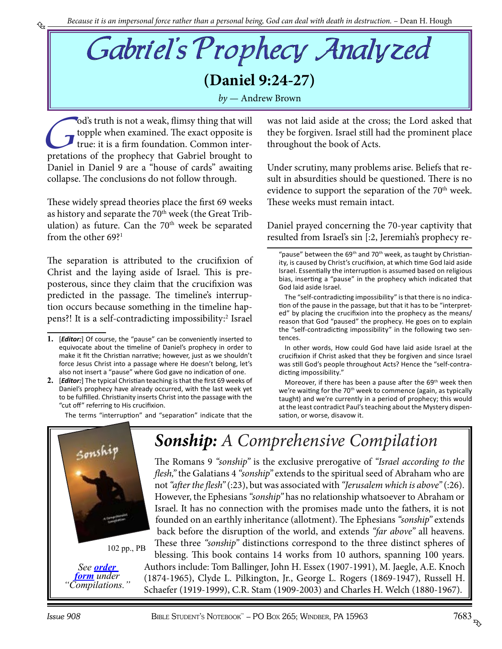<span id="page-2-0"></span>Gabriel's Prophecy Analyzed **(Daniel 9:24-27)** *by* — Andrew Brown

od's truth is not a weak, flimsy thing that will<br>topple when examined. The exact opposite is<br>true: it is a firm foundation. Common inter-<br>pretations of the prophecy that Gabriel brought to topple when examined. The exact opposite is true: it is a firm foundation. Common interpretations of the prophecy that Gabriel brought to Daniel in Daniel 9 are a "house of cards" awaiting collapse. The conclusions do not follow through.

These widely spread theories place the first 69 weeks as history and separate the 70<sup>th</sup> week (the Great Tribulation) as future. Can the  $70<sup>th</sup>$  week be separated from the other  $69$ ?<sup>1</sup>

The separation is attributed to the crucifixion of Christ and the laying aside of Israel. This is preposterous, since they claim that the crucifixion was predicted in the passage. The timeline's interruption occurs because something in the timeline happens?! It is a self-contradicting impossibility:<sup>2</sup> Israel

The terms "interruption" and "separation" indicate that the

was not laid aside at the cross; the Lord asked that they be forgiven. Israel still had the prominent place throughout the book of Acts.

Under scrutiny, many problems arise. Beliefs that result in absurdities should be questioned. There is no evidence to support the separation of the  $70<sup>th</sup>$  week. These weeks must remain intact.

Daniel prayed concerning the 70-year captivity that resulted from Israel's sin [:2, Jeremiah's prophecy re-

The "self-contradicting impossibility" is that there is no indication of the pause in the passage, but that it has to be "interpreted" by placing the crucifixion into the prophecy as the means/ reason that God "paused" the prophecy. He goes on to explain the "self-contradicting impossibility" in the following two sentences.

In other words, How could God have laid aside Israel at the crucifixion if Christ asked that they be forgiven and since Israel was still God's people throughout Acts? Hence the "self-contradicting impossibility."

Moreover, if there has been a pause after the 69<sup>th</sup> week then we're waiting for the 70<sup>th</sup> week to commence (again, as typically taught) and we're currently in a period of prophecy; this would at the least contradict Paul's teaching about the Mystery dispensation, or worse, disavow it.



*[form](http://studyshelf.com/orderform-studyshelf.pdf) under "Compilations."*

## *Sonship: [A Comprehensive Compilation](http://www.studyshelf.com/compilations.htm#3326)*

The Romans 9 *"sonship"* is the exclusive prerogative of *"Israel according to the flesh,"* the Galatians 4 *"sonship"* extends to the spiritual seed of Abraham who are not *"after the flesh"* (:23), but was associated with *"Jerusalem which is above"* (:26). However, the Ephesians *"sonship"* has no relationship whatsoever to Abraham or Israel. It has no connection with the promises made unto the fathers, it is not founded on an earthly inheritance (allotment). The Ephesians *"sonship"* extends back before the disruption of the world, and extends *"far above"* all heavens. These three *"sonship"* distinctions correspond to the three distinct spheres of

blessing. This book contains 14 works from 10 authors, spanning 100 years. Authors include: Tom Ballinger, John H. Essex (1907-1991), M. Jaegle, A.E. Knoch (1874-1965), Clyde L. Pilkington, Jr., George L. Rogers (1869-1947), Russell H. Schaefer (1919-1999), C.R. Stam (1909-2003) and Charles H. Welch (1880-1967).

**<sup>1.</sup>** [*Editor:*] Of course, the "pause" can be conveniently inserted to equivocate about the timeline of Daniel's prophecy in order to make it fit the Christian narrative; however, just as we shouldn't force Jesus Christ into a passage where He doesn't belong, let's also not insert a "pause" where God gave no indication of one.

**<sup>2.</sup>** [*Editor:*] The typical Christian teaching is that the first 69 weeks of Daniel's prophecy have already occurred, with the last week yet to be fulfilled. Christianity inserts Christ into the passage with the "cut off" referring to His crucifixion.

<sup>&</sup>quot;pause" between the 69<sup>th</sup> and 70<sup>th</sup> week, as taught by Christianity, is caused by Christ's crucifixion, at which time God laid aside Israel. Essentially the interruption is assumed based on religious bias, inserting a "pause" in the prophecy which indicated that God laid aside Israel.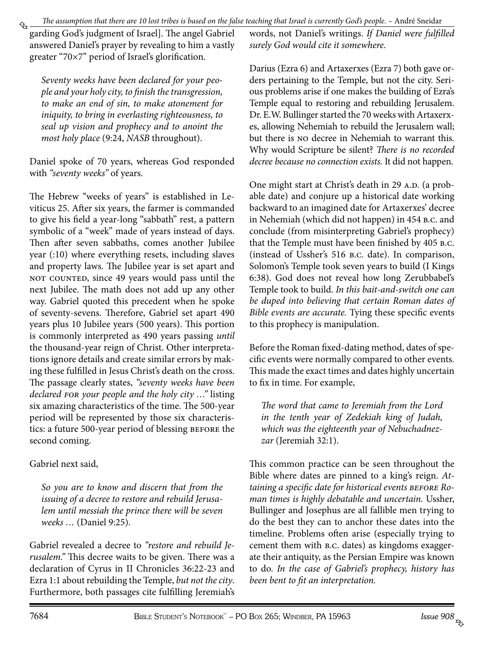<span id="page-3-0"></span>₠ garding God's judgment of Israel]. The angel Gabriel answered Daniel's prayer by revealing to him a vastly greater "70×7" period of Israel's glorification.

*Seventy weeks have been declared for your people and your holy city, to finish the transgression, to make an end of sin, to make atonement for iniquity, to bring in everlasting righteousness, to seal up vision and prophecy and to anoint the most holy place* (9:24, *NASB* throughout).

Daniel spoke of 70 years, whereas God responded with *"seventy weeks"* of years.

The Hebrew "weeks of years" is established in Leviticus 25. After six years, the farmer is commanded to give his field a year-long "sabbath" rest, a pattern symbolic of a "week" made of years instead of days. Then after seven sabbaths, comes another Jubilee year (:10) where everything resets, including slaves and property laws. The Jubilee year is set apart and not counted, since 49 years would pass until the next Jubilee. The math does not add up any other way. Gabriel quoted this precedent when he spoke of seventy-sevens. Therefore, Gabriel set apart 490 years plus 10 Jubilee years (500 years). This portion is commonly interpreted as 490 years passing *until* the thousand-year reign of Christ. Other interpretations ignore details and create similar errors by making these fulfilled in Jesus Christ's death on the cross. The passage clearly states, *"seventy weeks have been declared for your people and the holy city …"* listing six amazing characteristics of the time. The 500-year period will be represented by those six characteristics: a future 500-year period of blessing before the second coming.

#### Gabriel next said,

*So you are to know and discern that from the issuing of a decree to restore and rebuild Jerusalem until messiah the prince there will be seven weeks …* (Daniel 9:25).

Gabriel revealed a decree to *"restore and rebuild Jerusalem."* This decree waits to be given. There was a declaration of Cyrus in II Chronicles 36:22-23 and Ezra 1:1 about rebuilding the Temple, *but not the city*. Furthermore, both passages cite fulfilling Jeremiah's words, not Daniel's writings. *If Daniel were fulfilled surely God would cite it somewhere.*

Darius (Ezra 6) and Artaxerxes (Ezra 7) both gave orders pertaining to the Temple, but not the city. Serious problems arise if one makes the building of Ezra's Temple equal to restoring and rebuilding Jerusalem. Dr. E.W. Bullinger started the 70 weeks with Artaxerxes, allowing Nehemiah to rebuild the Jerusalem wall; but there is no decree in Nehemiah to warrant this. Why would Scripture be silent? *There is no recorded decree because no connection exists.* It did not happen.

One might start at Christ's death in 29 A.D. (a probable date) and conjure up a historical date working backward to an imagined date for Artaxerxes' decree in Nehemiah (which did not happen) in 454 b.c. and conclude (from misinterpreting Gabriel's prophecy) that the Temple must have been finished by 405 b.c. (instead of Ussher's 516 b.c. date). In comparison, Solomon's Temple took seven years to build (I Kings 6:38). God does not reveal how long Zerubbabel's Temple took to build. *In this bait-and-switch one can be duped into believing that certain Roman dates of Bible events are accurate.* Tying these specific events to this prophecy is manipulation.

Before the Roman fixed-dating method, dates of specific events were normally compared to other events. This made the exact times and dates highly uncertain to fix in time. For example,

*The word that came to Jeremiah from the Lord in the tenth year of Zedekiah king of Judah, which was the eighteenth year of Nebuchadnezzar* (Jeremiah 32:1).

This common practice can be seen throughout the Bible where dates are pinned to a king's reign. *Attaining a specific date for historical events before Roman times is highly debatable and uncertain.* Ussher, Bullinger and Josephus are all fallible men trying to do the best they can to anchor these dates into the timeline. Problems often arise (especially trying to cement them with b.c. dates) as kingdoms exaggerate their antiquity, as the Persian Empire was known to do. *In the case of Gabriel's prophecy, history has been bent to fit an interpretation.*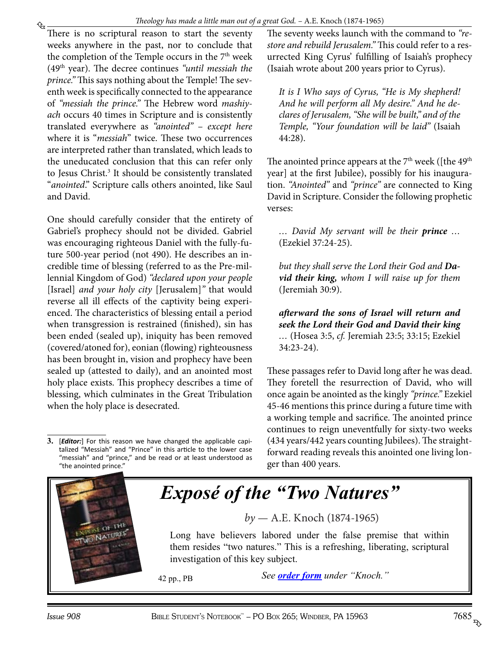<span id="page-4-0"></span>₠

There is no scriptural reason to start the seventy weeks anywhere in the past, nor to conclude that the completion of the Temple occurs in the  $7<sup>th</sup>$  week (49th year). The decree continues *"until messiah the prince."* This says nothing about the Temple! The seventh week is specifically connected to the appearance of *"messiah the prince."* The Hebrew word *mashiyach* occurs 40 times in Scripture and is consistently translated everywhere as *"anointed"* – *except here* where it is "*messiah*" twice. These two occurrences are interpreted rather than translated, which leads to the uneducated conclusion that this can refer only to Jesus Christ.<sup>3</sup> It should be consistently translated "*anointed*." Scripture calls others anointed, like Saul and David.

One should carefully consider that the entirety of Gabriel's prophecy should not be divided. Gabriel was encouraging righteous Daniel with the fully-future 500-year period (not 490). He describes an incredible time of blessing (referred to as the Pre-millennial Kingdom of God) *"declared upon your people*  [Israel] *and your holy city* [Jerusalem]*"* that would reverse all ill effects of the captivity being experienced. The characteristics of blessing entail a period when transgression is restrained (finished), sin has been ended (sealed up), iniquity has been removed (covered/atoned for), eonian (flowing) righteousness has been brought in, vision and prophecy have been sealed up (attested to daily), and an anointed most holy place exists. This prophecy describes a time of blessing, which culminates in the Great Tribulation when the holy place is desecrated.

The seventy weeks launch with the command to *"restore and rebuild Jerusalem."* This could refer to a resurrected King Cyrus' fulfilling of Isaiah's prophecy (Isaiah wrote about 200 years prior to Cyrus).

*It is I Who says of Cyrus, "He is My shepherd! And he will perform all My desire." And he declares of Jerusalem, "She will be built," and of the Temple, "Your foundation will be laid"* (Isaiah 44:28).

The anointed prince appears at the  $7<sup>th</sup>$  week ([the 49<sup>th</sup>) year] at the first Jubilee), possibly for his inauguration. *"Anointed"* and *"prince"* are connected to King David in Scripture. Consider the following prophetic verses:

*… David My servant will be their prince …* (Ezekiel 37:24-25).

*but they shall serve the Lord their God and David their king, whom I will raise up for them* (Jeremiah 30:9).

*afterward the sons of Israel will return and seek the Lord their God and David their king …* (Hosea 3:5, *cf.* Jeremiah 23:5; 33:15; Ezekiel 34:23-24).

These passages refer to David long after he was dead. They foretell the resurrection of David, who will once again be anointed as the kingly *"prince."* Ezekiel 45-46 mentions this prince during a future time with a working temple and sacrifice. The anointed prince continues to reign uneventfully for sixty-two weeks (434 years/442 years counting Jubilees). The straightforward reading reveals this anointed one living longer than 400 years.



### *[Exposé of the "Two Natures"](http://www.studyshelf.com/knoch.htm#0023)*

*by* — A.E. Knoch (1874-1965)

Long have believers labored under the false premise that within them resides "two natures." This is a refreshing, liberating, scriptural investigation of this key subject.

42 pp., PB *See [order form](http://studyshelf.com/orderform-studyshelf.pdf) under "Knoch."*

**<sup>3.</sup>** [*Editor:*] For this reason we have changed the applicable capitalized "Messiah" and "Prince" in this article to the lower case "messiah" and "prince," and be read or at least understood as "the anointed prince."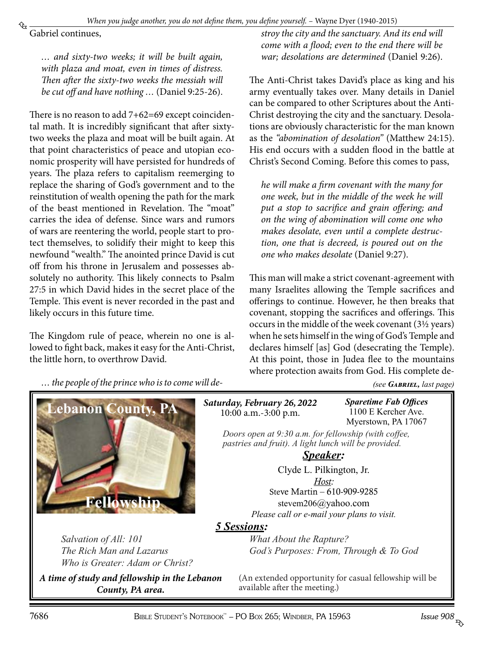<span id="page-5-0"></span>Gabriel continues,

*… and sixty-two weeks; it will be built again, with plaza and moat, even in times of distress. Then after the sixty-two weeks the messiah will be cut off and have nothing …* (Daniel 9:25-26).

There is no reason to add 7+62=69 except coincidental math. It is incredibly significant that after sixtytwo weeks the plaza and moat will be built again. At that point characteristics of peace and utopian economic prosperity will have persisted for hundreds of years. The plaza refers to capitalism reemerging to replace the sharing of God's government and to the reinstitution of wealth opening the path for the mark of the beast mentioned in Revelation. The "moat" carries the idea of defense. Since wars and rumors of wars are reentering the world, people start to protect themselves, to solidify their might to keep this newfound "wealth." The anointed prince David is cut off from his throne in Jerusalem and possesses absolutely no authority. This likely connects to Psalm 27:5 in which David hides in the secret place of the Temple. This event is never recorded in the past and likely occurs in this future time.

The Kingdom rule of peace, wherein no one is allowed to fight back, makes it easy for the Anti-Christ, the little horn, to overthrow David.

*stroy the city and the sanctuary. And its end will come with a flood; even to the end there will be war; desolations are determined* (Daniel 9:26).

The Anti-Christ takes David's place as king and his army eventually takes over. Many details in Daniel can be compared to other Scriptures about the Anti-Christ destroying the city and the sanctuary. Desolations are obviously characteristic for the man known as the *"abomination of desolation"* (Matthew 24:15). His end occurs with a sudden flood in the battle at Christ's Second Coming. Before this comes to pass,

*he will make a firm covenant with the many for one week, but in the middle of the week he will put a stop to sacrifice and grain offering; and on the wing of abomination will come one who makes desolate, even until a complete destruction, one that is decreed, is poured out on the one who makes desolate* (Daniel 9:27).

This man will make a strict covenant-agreement with many Israelites allowing the Temple sacrifices and offerings to continue. However, he then breaks that covenant, stopping the sacrifices and offerings. This occurs in the middle of the week covenant (3½ years) when he sets himself in the wing of God's Temple and declares himself [as] God (desecrating the Temple). At this point, those in Judea flee to the mountains where protection awaits from God. His complete de-

*… the people of the prince who is to come will de-*



*Salvation of All: 101 The Rich Man and Lazarus Who is Greater: Adam or Christ?*

*A time of study and fellowship in the Lebanon County, PA area.*

*(see [Gabriel,](#page-7-0) last page)*

*Saturday, February 26, 2022* 10:00 a.m.-3:00 p.m.

*Sparetime Fab Offices* 1100 E Kercher Ave. Myerstown, PA 17067

*Doors open at 9:30 a.m. for fellowship (with coffee, pastries and fruit). A light lunch will be provided.*

*Speaker:*

Clyde L. Pilkington, Jr. *Host:* Steve Martin – 610-909-9285 stevem206@yahoo.com *Please call or e-mail your plans to visit.*

#### *5 Sessions:*

*What About the Rapture? God's Purposes: From, Through & To God*

(An extended opportunity for casual fellowship will be available after the meeting.)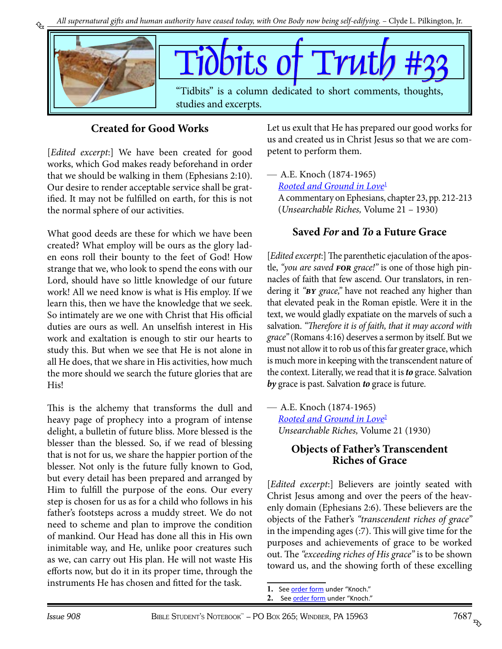<span id="page-6-0"></span>

### **Created for Good Works**

[*Edited excerpt*:] We have been created for good works, which God makes ready beforehand in order that we should be walking in them (Ephesians 2:10). Our desire to render acceptable service shall be gratified. It may not be fulfilled on earth, for this is not the normal sphere of our activities.

What good deeds are these for which we have been created? What employ will be ours as the glory laden eons roll their bounty to the feet of God! How strange that we, who look to spend the eons with our Lord, should have so little knowledge of our future work! All we need know is what is His employ. If we learn this, then we have the knowledge that we seek. So intimately are we one with Christ that His official duties are ours as well. An unselfish interest in His work and exaltation is enough to stir our hearts to study this. But when we see that He is not alone in all He does, that we share in His activities, how much the more should we search the future glories that are His!

This is the alchemy that transforms the dull and heavy page of prophecy into a program of intense delight, a bulletin of future bliss. More blessed is the blesser than the blessed. So, if we read of blessing that is not for us, we share the happier portion of the blesser. Not only is the future fully known to God, but every detail has been prepared and arranged by Him to fulfill the purpose of the eons. Our every step is chosen for us as for a child who follows in his father's footsteps across a muddy street. We do not need to scheme and plan to improve the condition of mankind. Our Head has done all this in His own inimitable way, and He, unlike poor creatures such as we, can carry out His plan. He will not waste His efforts now, but do it in its proper time, through the instruments He has chosen and fitted for the task.

Let us exult that He has prepared our good works for us and created us in Christ Jesus so that we are competent to perform them.

— A.E. Knoch (1874-1965) *[Rooted and Ground in Love](http://www.studyshelf.com/knoch.htm#2442)*<sup>1</sup> A commentary on Ephesians, chapter 23, pp. 212-213 (*Unsearchable Riches,* Volume 21 – 1930)

#### **Saved** *For* **and** *To* **a Future Grace**

[*Edited excerpt*:] The parenthetic ejaculation of the apostle, *"you are saved for grace!"* is one of those high pinnacles of faith that few ascend. Our translators, in rendering it *"by grace,"* have not reached any higher than that elevated peak in the Roman epistle. Were it in the text, we would gladly expatiate on the marvels of such a salvation. *"Therefore it is of faith, that it may accord with grace"* (Romans 4:16) deserves a sermon by itself. But we must not allow it to rob us of this far greater grace, which is much more in keeping with the transcendent nature of the context. Literally, we read that it is *to* grace. Salvation *by* grace is past. Salvation *to* grace is future.

— A.E. Knoch (1874-1965) *[Rooted and Ground in Love](http://www.studyshelf.com/knoch.htm#2442)*<sup>2</sup> *Unsearchable Riches,* Volume 21 (1930)

#### **Objects of Father's Transcendent Riches of Grace**

[*Edited excerpt*:] Believers are jointly seated with Christ Jesus among and over the peers of the heavenly domain (Ephesians 2:6). These believers are the objects of the Father's *"transcendent riches of grace"* in the impending ages (:7). This will give time for the purposes and achievements of grace to be worked out. The *"exceeding riches of His grace"* is to be shown toward us, and the showing forth of these excelling

<sup>1.</sup> See [order form](http://studyshelf.com/orderform-studyshelf.pdf) under "Knoch."

<sup>2.</sup> See [order form](http://studyshelf.com/orderform-studyshelf.pdf) under "Knoch."